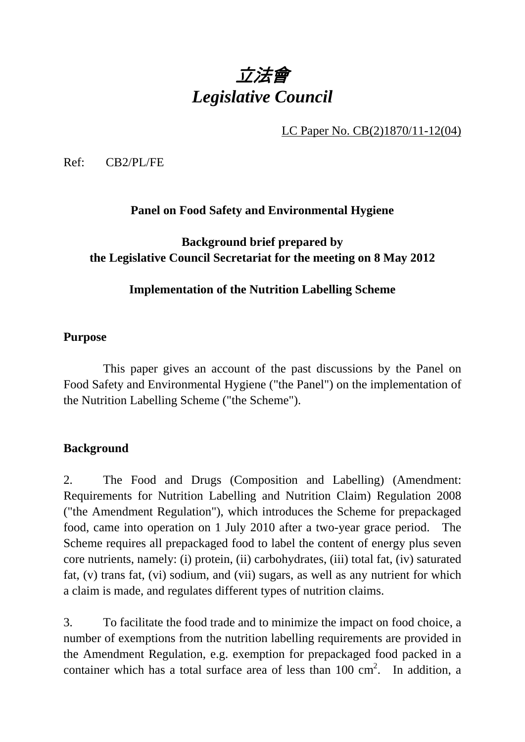# 立法會 *Legislative Council*

LC Paper No. CB(2)1870/11-12(04)

Ref: CB2/PL/FE

## **Panel on Food Safety and Environmental Hygiene**

## **Background brief prepared by the Legislative Council Secretariat for the meeting on 8 May 2012**

## **Implementation of the Nutrition Labelling Scheme**

#### **Purpose**

This paper gives an account of the past discussions by the Panel on Food Safety and Environmental Hygiene ("the Panel") on the implementation of the Nutrition Labelling Scheme ("the Scheme").

#### **Background**

2. The Food and Drugs (Composition and Labelling) (Amendment: Requirements for Nutrition Labelling and Nutrition Claim) Regulation 2008 ("the Amendment Regulation"), which introduces the Scheme for prepackaged food, came into operation on 1 July 2010 after a two-year grace period. The Scheme requires all prepackaged food to label the content of energy plus seven core nutrients, namely: (i) protein, (ii) carbohydrates, (iii) total fat, (iv) saturated fat, (v) trans fat, (vi) sodium, and (vii) sugars, as well as any nutrient for which a claim is made, and regulates different types of nutrition claims.

3. To facilitate the food trade and to minimize the impact on food choice, a number of exemptions from the nutrition labelling requirements are provided in the Amendment Regulation, e.g. exemption for prepackaged food packed in a container which has a total surface area of less than  $100 \text{ cm}^2$ . In addition, a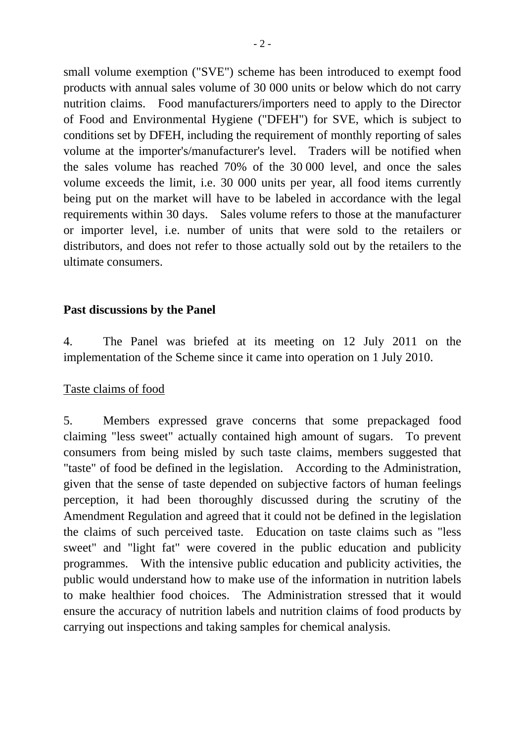small volume exemption ("SVE") scheme has been introduced to exempt food products with annual sales volume of 30 000 units or below which do not carry nutrition claims. Food manufacturers/importers need to apply to the Director of Food and Environmental Hygiene ("DFEH") for SVE, which is subject to conditions set by DFEH, including the requirement of monthly reporting of sales volume at the importer's/manufacturer's level. Traders will be notified when the sales volume has reached 70% of the 30 000 level, and once the sales volume exceeds the limit, i.e. 30 000 units per year, all food items currently being put on the market will have to be labeled in accordance with the legal requirements within 30 days. Sales volume refers to those at the manufacturer or importer level, i.e. number of units that were sold to the retailers or distributors, and does not refer to those actually sold out by the retailers to the ultimate consumers.

#### **Past discussions by the Panel**

4. The Panel was briefed at its meeting on 12 July 2011 on the implementation of the Scheme since it came into operation on 1 July 2010.

#### Taste claims of food

5. Members expressed grave concerns that some prepackaged food claiming "less sweet" actually contained high amount of sugars. To prevent consumers from being misled by such taste claims, members suggested that "taste" of food be defined in the legislation. According to the Administration, given that the sense of taste depended on subjective factors of human feelings perception, it had been thoroughly discussed during the scrutiny of the Amendment Regulation and agreed that it could not be defined in the legislation the claims of such perceived taste. Education on taste claims such as "less sweet" and "light fat" were covered in the public education and publicity programmes. With the intensive public education and publicity activities, the public would understand how to make use of the information in nutrition labels to make healthier food choices. The Administration stressed that it would ensure the accuracy of nutrition labels and nutrition claims of food products by carrying out inspections and taking samples for chemical analysis.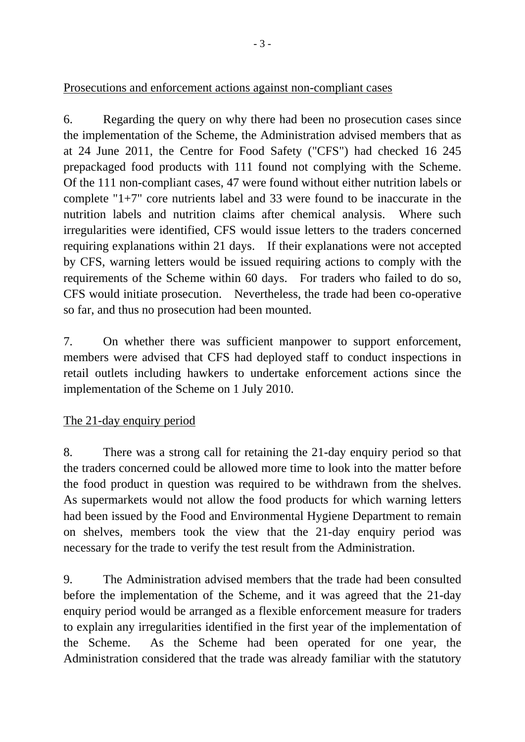## Prosecutions and enforcement actions against non-compliant cases

6. Regarding the query on why there had been no prosecution cases since the implementation of the Scheme, the Administration advised members that as at 24 June 2011, the Centre for Food Safety ("CFS") had checked 16 245 prepackaged food products with 111 found not complying with the Scheme. Of the 111 non-compliant cases, 47 were found without either nutrition labels or complete "1+7" core nutrients label and 33 were found to be inaccurate in the nutrition labels and nutrition claims after chemical analysis. Where such irregularities were identified, CFS would issue letters to the traders concerned requiring explanations within 21 days. If their explanations were not accepted by CFS, warning letters would be issued requiring actions to comply with the requirements of the Scheme within 60 days. For traders who failed to do so, CFS would initiate prosecution. Nevertheless, the trade had been co-operative so far, and thus no prosecution had been mounted.

7. On whether there was sufficient manpower to support enforcement, members were advised that CFS had deployed staff to conduct inspections in retail outlets including hawkers to undertake enforcement actions since the implementation of the Scheme on 1 July 2010.

## The 21-day enquiry period

8. There was a strong call for retaining the 21-day enquiry period so that the traders concerned could be allowed more time to look into the matter before the food product in question was required to be withdrawn from the shelves. As supermarkets would not allow the food products for which warning letters had been issued by the Food and Environmental Hygiene Department to remain on shelves, members took the view that the 21-day enquiry period was necessary for the trade to verify the test result from the Administration.

9. The Administration advised members that the trade had been consulted before the implementation of the Scheme, and it was agreed that the 21-day enquiry period would be arranged as a flexible enforcement measure for traders to explain any irregularities identified in the first year of the implementation of the Scheme. As the Scheme had been operated for one year, the Administration considered that the trade was already familiar with the statutory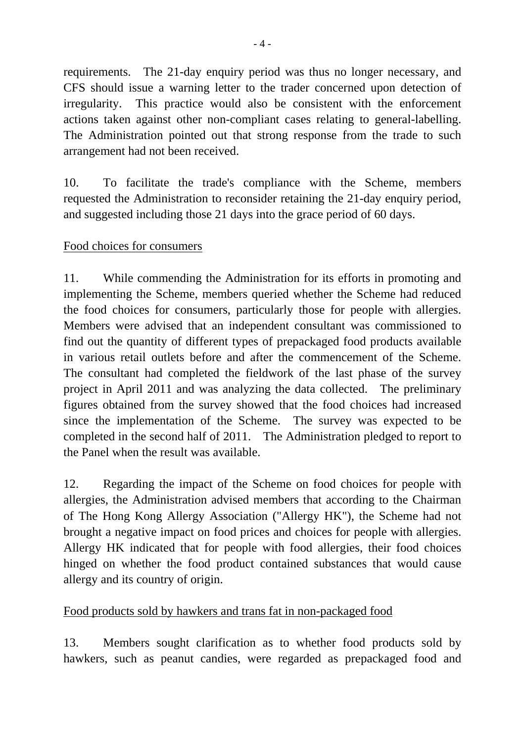requirements. The 21-day enquiry period was thus no longer necessary, and CFS should issue a warning letter to the trader concerned upon detection of irregularity. This practice would also be consistent with the enforcement actions taken against other non-compliant cases relating to general-labelling. The Administration pointed out that strong response from the trade to such arrangement had not been received.

10. To facilitate the trade's compliance with the Scheme, members requested the Administration to reconsider retaining the 21-day enquiry period, and suggested including those 21 days into the grace period of 60 days.

## Food choices for consumers

11. While commending the Administration for its efforts in promoting and implementing the Scheme, members queried whether the Scheme had reduced the food choices for consumers, particularly those for people with allergies. Members were advised that an independent consultant was commissioned to find out the quantity of different types of prepackaged food products available in various retail outlets before and after the commencement of the Scheme. The consultant had completed the fieldwork of the last phase of the survey project in April 2011 and was analyzing the data collected. The preliminary figures obtained from the survey showed that the food choices had increased since the implementation of the Scheme. The survey was expected to be completed in the second half of 2011. The Administration pledged to report to the Panel when the result was available.

12. Regarding the impact of the Scheme on food choices for people with allergies, the Administration advised members that according to the Chairman of The Hong Kong Allergy Association ("Allergy HK"), the Scheme had not brought a negative impact on food prices and choices for people with allergies. Allergy HK indicated that for people with food allergies, their food choices hinged on whether the food product contained substances that would cause allergy and its country of origin.

#### Food products sold by hawkers and trans fat in non-packaged food

13. Members sought clarification as to whether food products sold by hawkers, such as peanut candies, were regarded as prepackaged food and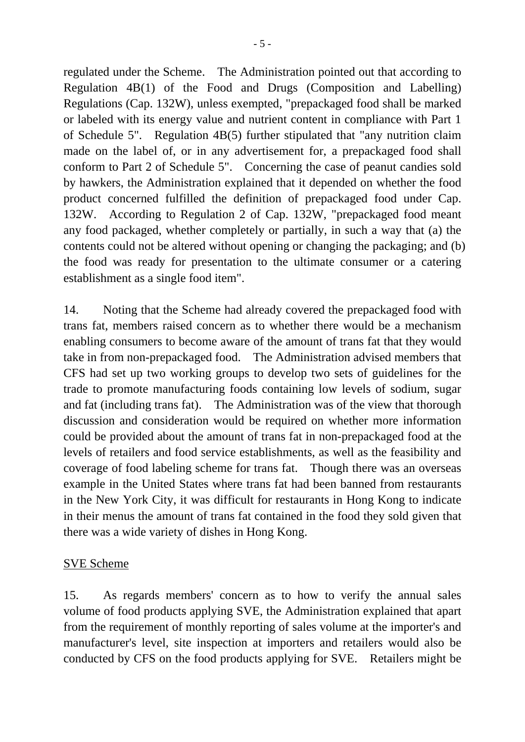regulated under the Scheme. The Administration pointed out that according to Regulation 4B(1) of the Food and Drugs (Composition and Labelling) Regulations (Cap. 132W), unless exempted, "prepackaged food shall be marked or labeled with its energy value and nutrient content in compliance with Part 1 of Schedule 5". Regulation 4B(5) further stipulated that "any nutrition claim made on the label of, or in any advertisement for, a prepackaged food shall conform to Part 2 of Schedule 5". Concerning the case of peanut candies sold by hawkers, the Administration explained that it depended on whether the food product concerned fulfilled the definition of prepackaged food under Cap. 132W. According to Regulation 2 of Cap. 132W, "prepackaged food meant any food packaged, whether completely or partially, in such a way that (a) the contents could not be altered without opening or changing the packaging; and (b) the food was ready for presentation to the ultimate consumer or a catering establishment as a single food item".

14. Noting that the Scheme had already covered the prepackaged food with trans fat, members raised concern as to whether there would be a mechanism enabling consumers to become aware of the amount of trans fat that they would take in from non-prepackaged food. The Administration advised members that CFS had set up two working groups to develop two sets of guidelines for the trade to promote manufacturing foods containing low levels of sodium, sugar and fat (including trans fat). The Administration was of the view that thorough discussion and consideration would be required on whether more information could be provided about the amount of trans fat in non-prepackaged food at the levels of retailers and food service establishments, as well as the feasibility and coverage of food labeling scheme for trans fat. Though there was an overseas example in the United States where trans fat had been banned from restaurants in the New York City, it was difficult for restaurants in Hong Kong to indicate in their menus the amount of trans fat contained in the food they sold given that there was a wide variety of dishes in Hong Kong.

## SVE Scheme

15. As regards members' concern as to how to verify the annual sales volume of food products applying SVE, the Administration explained that apart from the requirement of monthly reporting of sales volume at the importer's and manufacturer's level, site inspection at importers and retailers would also be conducted by CFS on the food products applying for SVE. Retailers might be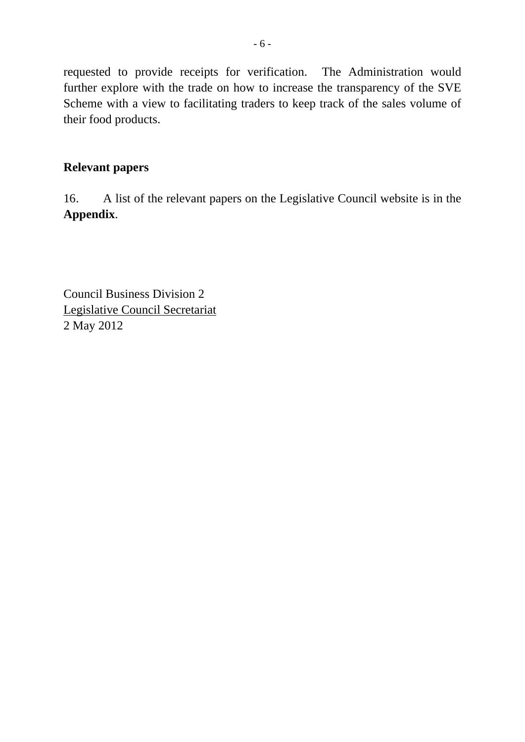requested to provide receipts for verification. The Administration would further explore with the trade on how to increase the transparency of the SVE Scheme with a view to facilitating traders to keep track of the sales volume of their food products.

#### **Relevant papers**

16. A list of the relevant papers on the Legislative Council website is in the **Appendix**.

Council Business Division 2 Legislative Council Secretariat 2 May 2012